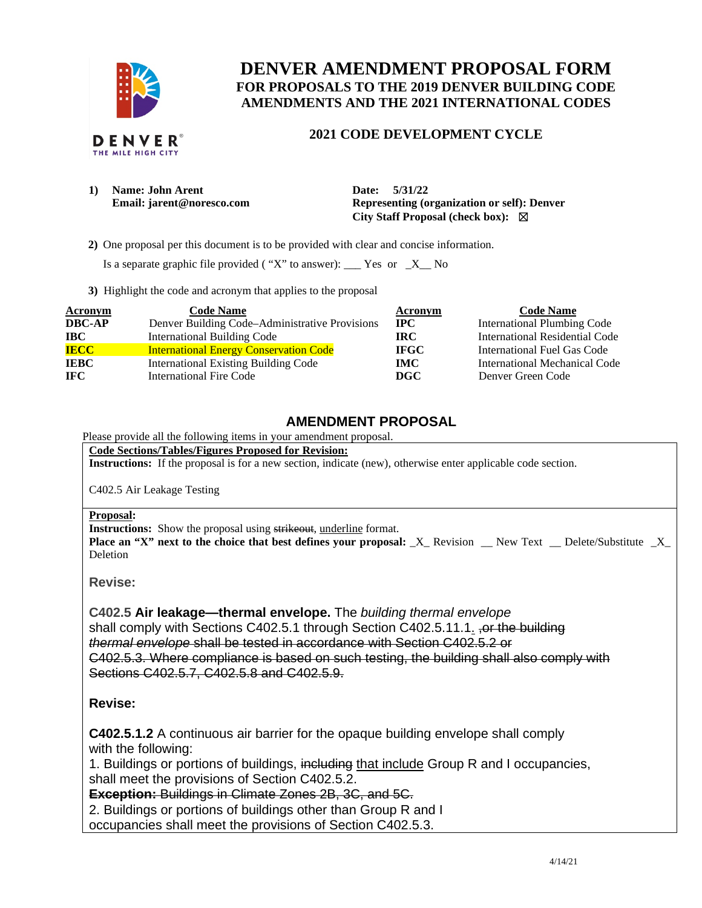

# **DENVER AMENDMENT PROPOSAL FORM FOR PROPOSALS TO THE 2019 DENVER BUILDING CODE AMENDMENTS AND THE 2021 INTERNATIONAL CODES**

### **2021 CODE DEVELOPMENT CYCLE**

| 1) | Name: John Arent          | 5/31/22<br><b>Date:</b>                      |  |  |
|----|---------------------------|----------------------------------------------|--|--|
|    | Email: jarent@noresco.com | Representing (organization or self): Denver  |  |  |
|    |                           | City Staff Proposal (check box): $\boxtimes$ |  |  |

 **2)** One proposal per this document is to be provided with clear and concise information.

Is a separate graphic file provided ( "X" to answer): \_\_\_ Yes or  $-X$  No

**3)** Highlight the code and acronym that applies to the proposal

| <b>Acronym</b> | <b>Code Name</b>                               | Acronym     | <b>Code Name</b>                   |
|----------------|------------------------------------------------|-------------|------------------------------------|
| <b>DBC-AP</b>  | Denver Building Code-Administrative Provisions | $\bf{IPC}$  | <b>International Plumbing Code</b> |
| <b>IBC</b>     | <b>International Building Code</b>             | IRC-        | International Residential Code     |
| <b>IECC</b>    | <b>International Energy Conservation Code</b>  | <b>IFGC</b> | International Fuel Gas Code        |
| <b>IEBC</b>    | <b>International Existing Building Code</b>    | IMC.        | International Mechanical Code      |
| IFC.           | International Fire Code                        | <b>DGC</b>  | Denver Green Code                  |

## **AMENDMENT PROPOSAL**

Please provide all the following items in your amendment proposal.

**Code Sections/Tables/Figures Proposed for Revision:** 

**Instructions:** If the proposal is for a new section, indicate (new), otherwise enter applicable code section.

C402.5 Air Leakage Testing

#### **Proposal:**

**Instructions:** Show the proposal using strikeout, underline format.

**Place an "X" next to the choice that best defines your proposal:**  $X$  Revision \_ New Text \_ Delete/Substitute  $X$ Deletion

**Revise:** 

**C402.5 Air leakage—thermal envelope.** The *building thermal envelope* shall comply with Sections C402.5.1 through Section C402.5.11.1. For the building *thermal envelope* shall be tested in accordance with Section C402.5.2 or C402.5.3. Where compliance is based on such testing, the building shall also comply with Sections C402.5.7, C402.5.8 and C402.5.9.

### **Revise:**

**C402.5.1.2** A continuous air barrier for the opaque building envelope shall comply with the following:

1. Buildings or portions of buildings, including that include Group R and I occupancies, shall meet the provisions of Section C402.5.2.

**Exception:** Buildings in Climate Zones 2B, 3C, and 5C.

2. Buildings or portions of buildings other than Group R and I occupancies shall meet the provisions of Section C402.5.3.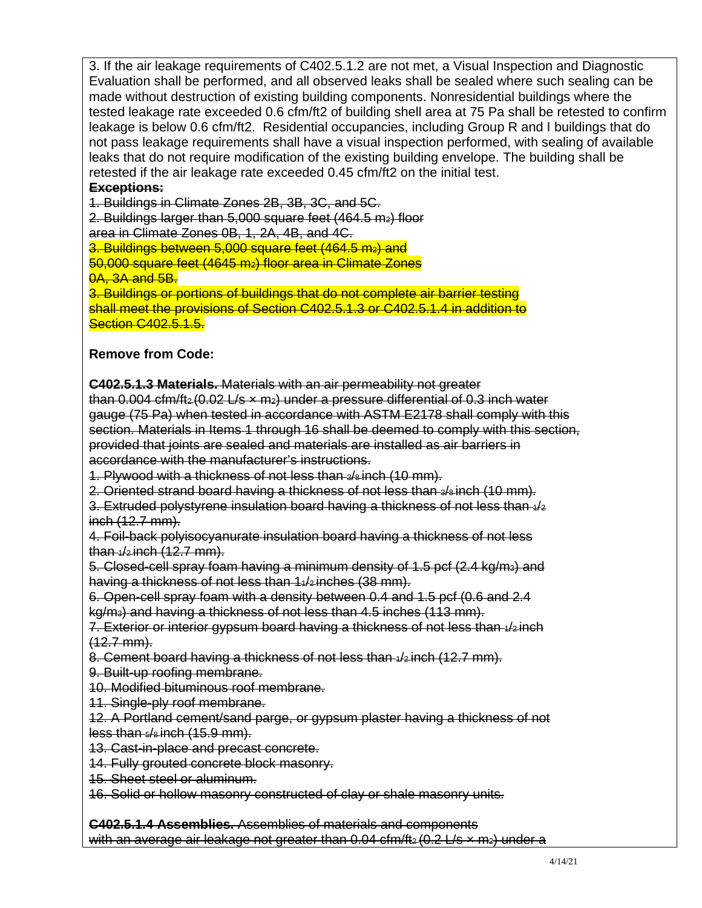3. If the air leakage requirements of C402.5.1.2 are not met, a Visual Inspection and Diagnostic Evaluation shall be performed, and all observed leaks shall be sealed where such sealing can be made without destruction of existing building components. Nonresidential buildings where the tested leakage rate exceeded 0.6 cfm/ft2 of building shell area at 75 Pa shall be retested to confirm leakage is below 0.6 cfm/ft2. Residential occupancies, including Group R and I buildings that do not pass leakage requirements shall have a visual inspection performed, with sealing of available leaks that do not require modification of the existing building envelope. The building shall be retested if the air leakage rate exceeded 0.45 cfm/ft2 on the initial test.

## **Exceptions:**

1. Buildings in Climate Zones 2B, 3B, 3C, and 5C.

2. Buildings larger than  $5,000$  square feet  $(464.5 \text{ m}_2)$  floor

area in Climate Zones 0B, 1, 2A, 4B, and 4C.

3. Buildings between 5,000 square feet (464.5 m2) and

50,000 square feet (4645 m2) floor area in Climate Zones 0A, 3A and 5B.

3. Buildings or portions of buildings that do not complete air barrier testing shall meet the provisions of Section C402.5.1.3 or C402.5.1.4 in addition to **Section C402.5.1.5.** 

## **Remove from Code:**

**C402.5.1.3 Materials.** Materials with an air permeability not greater

than  $0.004$  cfm/ft<sub>2</sub> (0.02 L/s  $\times$  m<sub>2</sub>) under a pressure differential of 0.3 inch water gauge (75 Pa) when tested in accordance with ASTM E2178 shall comply with this section. Materials in Items 1 through 16 shall be deemed to comply with this section, provided that joints are sealed and materials are installed as air barriers in accordance with the manufacturer's instructions.

1. Plywood with a thickness of not less than 3/8 inch (10 mm).

2. Oriented strand board having a thickness of not less than  $\frac{1}{2}$  inch (10 mm).

3. Extruded polystyrene insulation board having a thickness of not less than  $4/2$ inch (12.7 mm).

4. Foil-back polyisocyanurate insulation board having a thickness of not less  $than + 42$  inch  $(12.7$  mm).

5. Closed-cell spray foam having a minimum density of 1.5 pcf (2.4 kg/m3) and having a thickness of not less than 1<sup>42</sup> inches (38 mm).

6. Open-cell spray foam with a density between 0.4 and 1.5 pcf (0.6 and 2.4 kg/m3) and having a thickness of not less than 4.5 inches (113 mm).

7. Exterior or interior gypsum board having a thickness of not less than  $\frac{1}{2}$  inch  $(12.7 \text{ mm})$ .

8. Cement board having a thickness of not less than  $\frac{1}{2}$  inch (12.7 mm).

9. Built-up roofing membrane.

10. Modified bituminous roof membrane.

11. Single-ply roof membrane.

12. A Portland cement/sand parge, or gypsum plaster having a thickness of not less than  $5/8$  inch  $(15.9 \text{ mm})$ .

13. Cast-in-place and precast concrete.

14. Fully grouted concrete block masonry.

15. Sheet steel or aluminum.

16. Solid or hollow masonry constructed of clay or shale masonry units.

**C402.5.1.4 Assemblies.** Assemblies of materials and components with an average air leakage not greater than  $0.04$  cfm/ft<sub>2</sub> (0.2 L/s  $\times$  m<sub>2</sub>) under a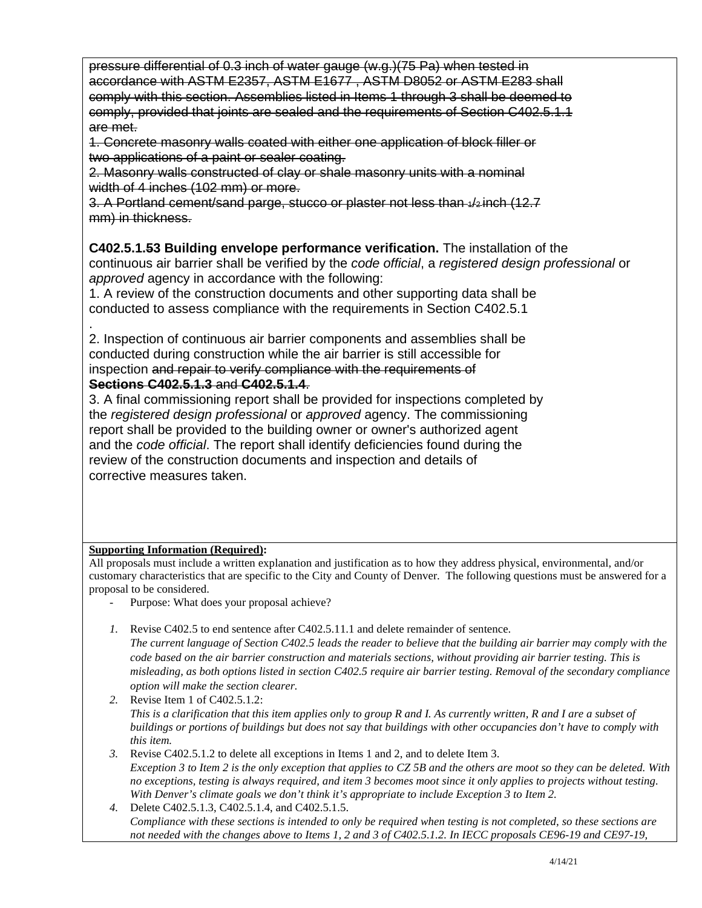pressure differential of 0.3 inch of water gauge (w.g.)(75 Pa) when tested in accordance with ASTM E2357, ASTM E1677 , ASTM D8052 or ASTM E283 shall comply with this section. Assemblies listed in Items 1 through 3 shall be deemed to comply, provided that joints are sealed and the requirements of Section C402.5.1.1 are met.

1. Concrete masonry walls coated with either one application of block filler or two applications of a paint or sealer coating.

2. Masonry walls constructed of clay or shale masonry units with a nominal width of 4 inches (102 mm) or more.

3. A Portland cement/sand parge, stucco or plaster not less than 1/2 inch (12.7 mm) in thickness.

**C402.5.1.53 Building envelope performance verification.** The installation of the continuous air barrier shall be verified by the *code official*, a *registered design professional* or *approved* agency in accordance with the following:

1. A review of the construction documents and other supporting data shall be conducted to assess compliance with the requirements in Section C402.5.1

. 2. Inspection of continuous air barrier components and assemblies shall be conducted during construction while the air barrier is still accessible for inspection and repair to verify compliance with the requirements of **Sections C402.5.1.3** and **C402.5.1.4**.

3. A final commissioning report shall be provided for inspections completed by the *registered design professional* or *approved* agency. The commissioning report shall be provided to the building owner or owner's authorized agent and the *code official*. The report shall identify deficiencies found during the review of the construction documents and inspection and details of corrective measures taken.

### **Supporting Information (Required):**

All proposals must include a written explanation and justification as to how they address physical, environmental, and/or customary characteristics that are specific to the City and County of Denver. The following questions must be answered for a proposal to be considered.

- Purpose: What does your proposal achieve?
- *1.* Revise C402.5 to end sentence after C402.5.11.1 and delete remainder of sentence.

*The current language of Section C402.5 leads the reader to believe that the building air barrier may comply with the code based on the air barrier construction and materials sections, without providing air barrier testing. This is misleading, as both options listed in section C402.5 require air barrier testing. Removal of the secondary compliance option will make the section clearer.* 

*2.* Revise Item 1 of C402.5.1.2: *This is a clarification that this item applies only to group R and I. As currently written, R and I are a subset of buildings or portions of buildings but does not say that buildings with other occupancies don't have to comply with this item.* 

*3.* Revise C402.5.1.2 to delete all exceptions in Items 1 and 2, and to delete Item 3. *Exception 3 to Item 2 is the only exception that applies to CZ 5B and the others are moot so they can be deleted. With no exceptions, testing is always required, and item 3 becomes moot since it only applies to projects without testing. With Denver's climate goals we don't think it's appropriate to include Exception 3 to Item 2.* 

*4.* Delete C402.5.1.3, C402.5.1.4, and C402.5.1.5. *Compliance with these sections is intended to only be required when testing is not completed, so these sections are not needed with the changes above to Items 1, 2 and 3 of C402.5.1.2. In IECC proposals CE96-19 and CE97-19,*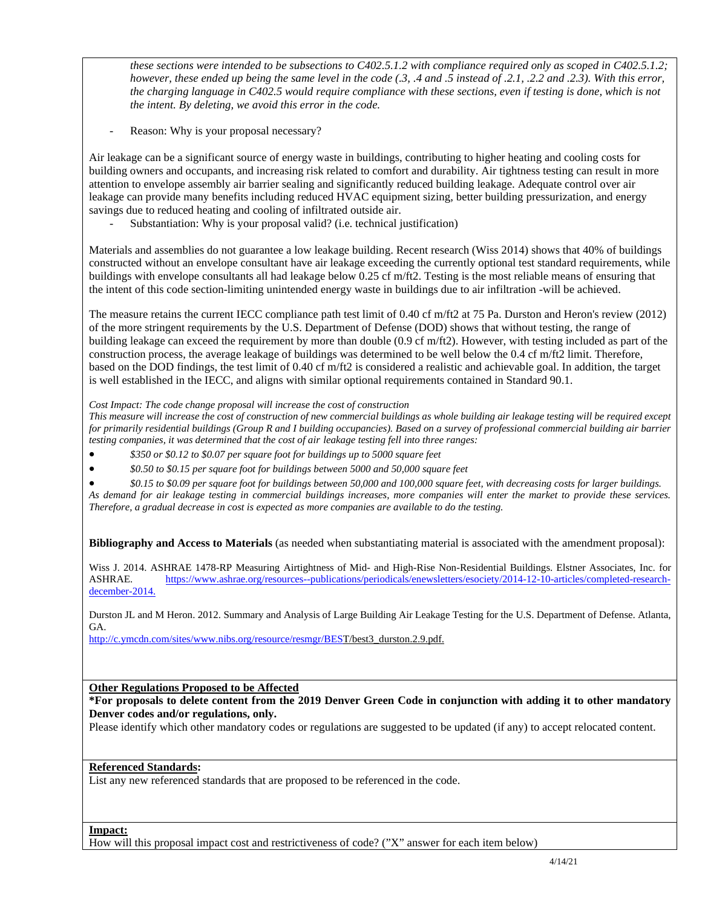*these sections were intended to be subsections to C402.5.1.2 with compliance required only as scoped in C402.5.1.2; however, these ended up being the same level in the code (.3, .4 and .5 instead of .2.1, .2.2 and .2.3). With this error, the charging language in C402.5 would require compliance with these sections, even if testing is done, which is not the intent. By deleting, we avoid this error in the code.* 

Reason: Why is your proposal necessary?

Air leakage can be a significant source of energy waste in buildings, contributing to higher heating and cooling costs for building owners and occupants, and increasing risk related to comfort and durability. Air tightness testing can result in more attention to envelope assembly air barrier sealing and significantly reduced building leakage. Adequate control over air leakage can provide many benefits including reduced HVAC equipment sizing, better building pressurization, and energy savings due to reduced heating and cooling of infiltrated outside air.

Substantiation: Why is your proposal valid? (i.e. technical justification)

Materials and assemblies do not guarantee a low leakage building. Recent research (Wiss 2014) shows that 40% of buildings constructed without an envelope consultant have air leakage exceeding the currently optional test standard requirements, while buildings with envelope consultants all had leakage below 0.25 cf m/ft2. Testing is the most reliable means of ensuring that the intent of this code section-limiting unintended energy waste in buildings due to air infiltration -will be achieved.

The measure retains the current IECC compliance path test limit of 0.40 cf m/ft2 at 75 Pa. Durston and Heron's review (2012) of the more stringent requirements by the U.S. Department of Defense (DOD) shows that without testing, the range of building leakage can exceed the requirement by more than double (0.9 cf m/ft2). However, with testing included as part of the construction process, the average leakage of buildings was determined to be well below the 0.4 cf m/ft2 limit. Therefore, based on the DOD findings, the test limit of 0.40 cf m/ft2 is considered a realistic and achievable goal. In addition, the target is well established in the IECC, and aligns with similar optional requirements contained in Standard 90.1.

*Cost Impact: The code change proposal will increase the cost of construction* 

*This measure will increase the cost of construction of new commercial buildings as whole building air leakage testing will be required except for primarily residential buildings (Group R and I building occupancies). Based on a survey of professional commercial building air barrier testing companies, it was determined that the cost of air leakage testing fell into three ranges:* 

- *\$350 or \$0.12 to \$0.07 per square foot for buildings up to 5000 square feet*
- *\$0.50 to \$0.15 per square foot for buildings between 5000 and 50,000 square feet*

 *\$0.15 to \$0.09 per square foot for buildings between 50,000 and 100,000 square feet, with decreasing costs for larger buildings. As demand for air leakage testing in commercial buildings increases, more companies will enter the market to provide these services. Therefore, a gradual decrease in cost is expected as more companies are available to do the testing.* 

**Bibliography and Access to Materials** (as needed when substantiating material is associated with the amendment proposal):

Wiss J. 2014. ASHRAE 1478-RP Measuring Airtightness of Mid- and High-Rise Non-Residential Buildings. Elstner Associates, Inc. for ASHRAE. [https://www.ashrae.org/resources--publications/periodicals/enewsletters/esociety/2014-12-10-articles/completed-research](https://www.ashrae.org/resources--publications/periodicals/enewsletters/esociety/2014-12-10-articles/completed-research-december-2014.)[december-2014.](https://www.ashrae.org/resources--publications/periodicals/enewsletters/esociety/2014-12-10-articles/completed-research-december-2014.) 

Durston JL and M Heron. 2012. Summary and Analysis of Large Building Air Leakage Testing for the U.S. Department of Defense. Atlanta, GA.

[http://c.ymcdn.com/sites/www.nibs.org/resource/resmgr/BEST](http://c.ymcdn.com/sites/www.nibs.org/resource/resmgr/BEST/best3_durston.2.9.pdf.)/best3\_durston.2.9.pdf.

#### **Other Regulations Proposed to be Affected**

**\*For proposals to delete content from the 2019 Denver Green Code in conjunction with adding it to other mandatory Denver codes and/or regulations, only.**

Please identify which other mandatory codes or regulations are suggested to be updated (if any) to accept relocated content.

#### **Referenced Standards:**

List any new referenced standards that are proposed to be referenced in the code.

**Impact:** 

How will this proposal impact cost and restrictiveness of code? ("X" answer for each item below)